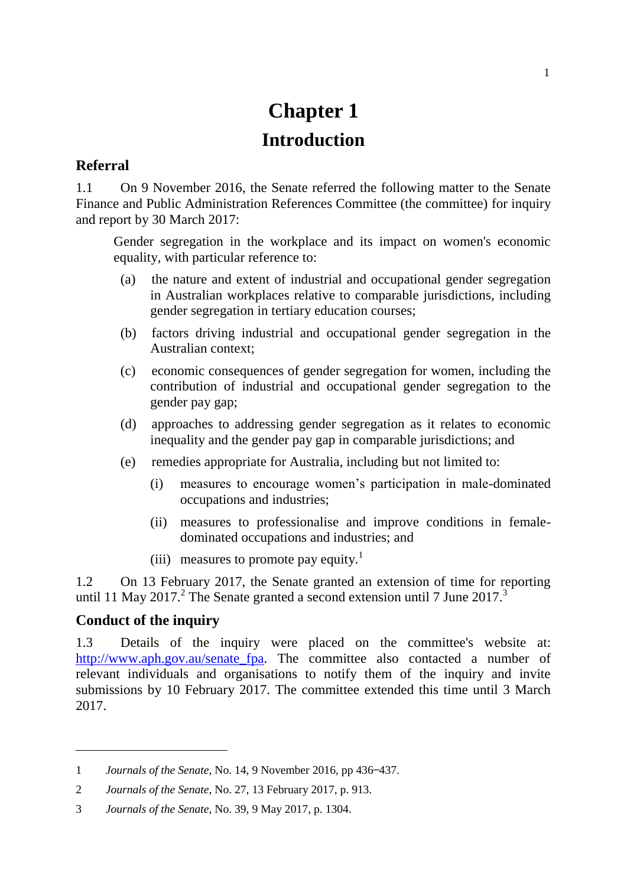# **Chapter 1 Introduction**

## **Referral**

1.1 On 9 November 2016, the Senate referred the following matter to the Senate Finance and Public Administration References Committee (the committee) for inquiry and report by 30 March 2017:

Gender segregation in the workplace and its impact on women's economic equality, with particular reference to:

- (a) the nature and extent of industrial and occupational gender segregation in Australian workplaces relative to comparable jurisdictions, including gender segregation in tertiary education courses;
- (b) factors driving industrial and occupational gender segregation in the Australian context;
- (c) economic consequences of gender segregation for women, including the contribution of industrial and occupational gender segregation to the gender pay gap;
- (d) approaches to addressing gender segregation as it relates to economic inequality and the gender pay gap in comparable jurisdictions; and
- (e) remedies appropriate for Australia, including but not limited to:
	- (i) measures to encourage women's participation in male-dominated occupations and industries;
	- (ii) measures to professionalise and improve conditions in femaledominated occupations and industries; and
	- (iii) measures to promote pay equity.<sup>1</sup>

1.2 On 13 February 2017, the Senate granted an extension of time for reporting until 11 May 2017.<sup>2</sup> The Senate granted a second extension until 7 June 2017.<sup>3</sup>

### **Conduct of the inquiry**

 $\overline{a}$ 

1.3 Details of the inquiry were placed on the committee's website at: [http://www.aph.gov.au/senate\\_fpa.](http://www.aph.gov.au/senate_fpa) The committee also contacted a number of relevant individuals and organisations to notify them of the inquiry and invite submissions by 10 February 2017. The committee extended this time until 3 March 2017.

<sup>1</sup> *Journals of the Senate*, No. 14, 9 November 2016, pp 436–437.

<sup>2</sup> *Journals of the Senate*, No. 27, 13 February 2017, p. 913.

<sup>3</sup> *Journals of the Senate*, No. 39, 9 May 2017, p. 1304.